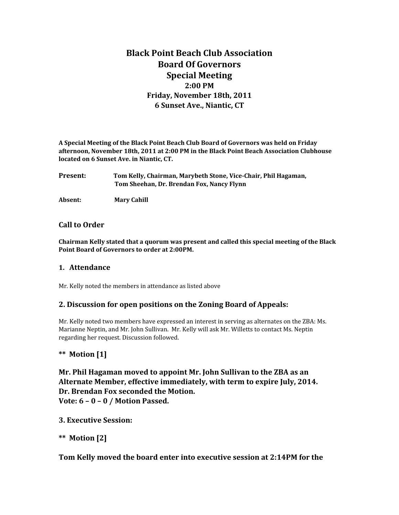# **Black Point Beach Club Association Board Of Governors Special Meeting 2:00 PM Friday, November 18th, 2011 6 Sunset Ave., Niantic, CT**

**A Special Meeting of the Black Point Beach Club Board of Governors was held on Friday afternoon, November 18th, 2011 at 2:00 PM in the Black Point Beach Association Clubhouse located on 6 Sunset Ave. in Niantic, CT.**

**Present: Tom Kelly, Chairman, Marybeth Stone, Vice-Chair, Phil Hagaman, Tom Sheehan, Dr. Brendan Fox, Nancy Flynn**

**Absent: Mary Cahill**

#### **Call to Order**

**Chairman Kelly stated that a quorum was present and called this special meeting of the Black Point Board of Governors to order at 2:00PM.** 

#### **1. Attendance**

Mr. Kelly noted the members in attendance as listed above

#### **2. Discussion for open positions on the Zoning Board of Appeals:**

Mr. Kelly noted two members have expressed an interest in serving as alternates on the ZBA: Ms. Marianne Neptin, and Mr. John Sullivan. Mr. Kelly will ask Mr. Willetts to contact Ms. Neptin regarding her request. Discussion followed.

#### **\*\* Motion [1]**

**Mr. Phil Hagaman moved to appoint Mr. John Sullivan to the ZBA as an Alternate Member, effective immediately, with term to expire July, 2014. Dr. Brendan Fox seconded the Motion. Vote: 6 – 0 – 0 / Motion Passed.**

#### **3. Executive Session:**

**\*\* Motion [2]**

#### **Tom Kelly moved the board enter into executive session at 2:14PM for the**